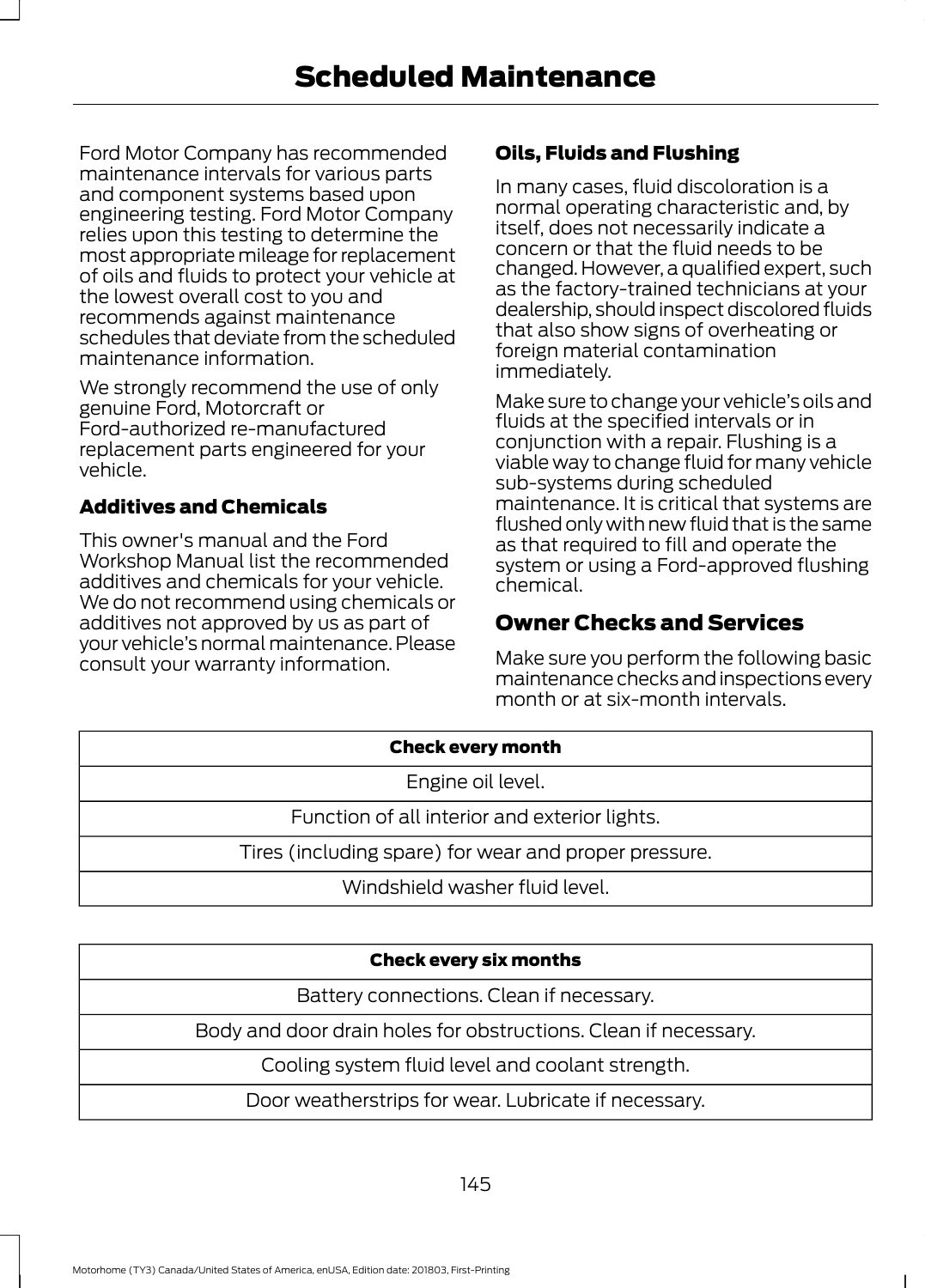Ford Motor Company has recommended maintenance intervals for various parts and component systems based upon engineering testing. Ford Motor Company relies upon this testing to determine the most appropriate mileage for replacement of oils and fluids to protect your vehicle at the lowest overall cost to you and recommends against maintenance schedules that deviate from the scheduled maintenance information.

We strongly recommend the use of only genuine Ford, Motorcraft or Ford-authorized re-manufactured replacement parts engineered for your vehicle.

## Additives and Chemicals

This owner's manual and the Ford Workshop Manual list the recommended additives and chemicals for your vehicle. We do not recommend using chemicals or additives not approved by us as part of your vehicle's normal maintenance. Please consult your warranty information.

## Oils, Fluids and Flushing

In many cases, fluid discoloration is a normal operating characteristic and, by itself, does not necessarily indicate a concern or that the fluid needs to be changed. However, a qualified expert, such as the factory-trained technicians at your dealership, should inspect discolored fluids that also show signs of overheating or foreign material contamination immediately.

Make sure to change your vehicle's oils and fluids at the specified intervals or in conjunction with a repair. Flushing is a viable way to change fluid for many vehicle sub-systems during scheduled maintenance. It is critical that systems are flushed only with new fluid that is the same as that required to fill and operate the system or using a Ford-approved flushing chemical.

# Owner Checks and Services

Make sure you perform the following basic maintenance checks and inspections every month or at six-month intervals.

| <b>Check every month</b>                              |  |
|-------------------------------------------------------|--|
| Engine oil level.                                     |  |
| Function of all interior and exterior lights.         |  |
| Tires (including spare) for wear and proper pressure. |  |
| Windshield washer fluid level.                        |  |

#### Check every six months

Battery connections. Clean if necessary.

Body and door drain holes for obstructions. Clean if necessary.

Cooling system fluid level and coolant strength.

Door weatherstrips for wear. Lubricate if necessary.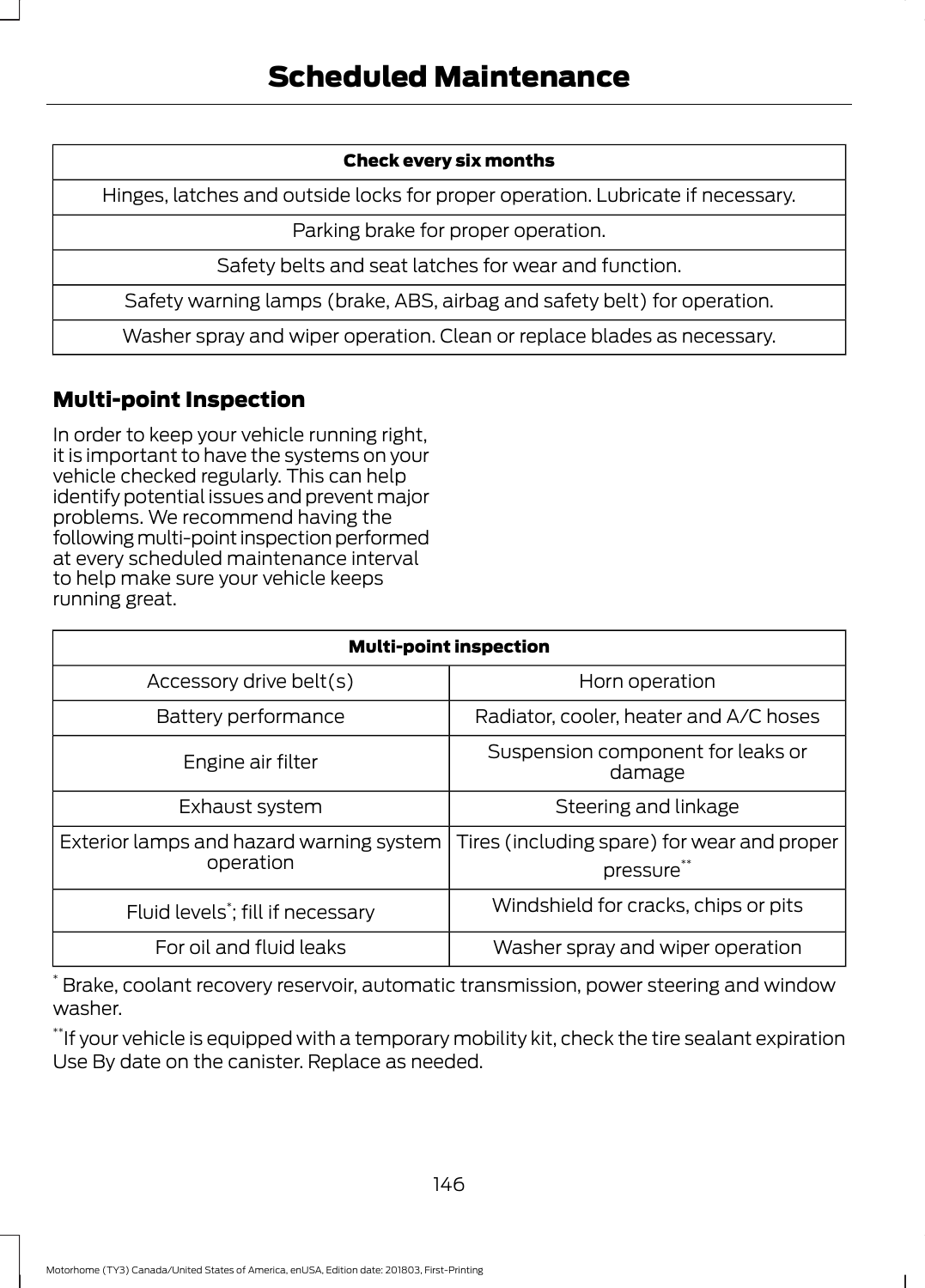#### Check every six months

Hinges, latches and outside locks for proper operation. Lubricate if necessary.

Parking brake for proper operation.

Safety belts and seat latches for wear and function.

Safety warning lamps (brake, ABS, airbag and safety belt) for operation.

Washer spray and wiper operation. Clean or replace blades as necessary.

# Multi-point Inspection

In order to keep your vehicle running right, it is important to have the systems on your vehicle checked regularly. This can help identify potential issues and prevent major problems. We recommend having the following multi-point inspection performed at every scheduled maintenance interval to help make sure your vehicle keeps running great.

| <b>Multi-point inspection</b>                         |                                                           |  |
|-------------------------------------------------------|-----------------------------------------------------------|--|
| Accessory drive belt(s)                               | Horn operation                                            |  |
| Battery performance                                   | Radiator, cooler, heater and A/C hoses                    |  |
| Engine air filter                                     | Suspension component for leaks or<br>damage               |  |
| Exhaust system                                        | Steering and linkage                                      |  |
| Exterior lamps and hazard warning system<br>operation | Tires (including spare) for wear and proper<br>pressure** |  |
| Fluid levels <sup>*</sup> ; fill if necessary         | Windshield for cracks, chips or pits                      |  |
| For oil and fluid leaks                               | Washer spray and wiper operation                          |  |

\* Brake, coolant recovery reservoir, automatic transmission, power steering and window washer.

\*\*If your vehicle is equipped with a temporary mobility kit, check the tire sealant expiration Use By date on the canister. Replace as needed.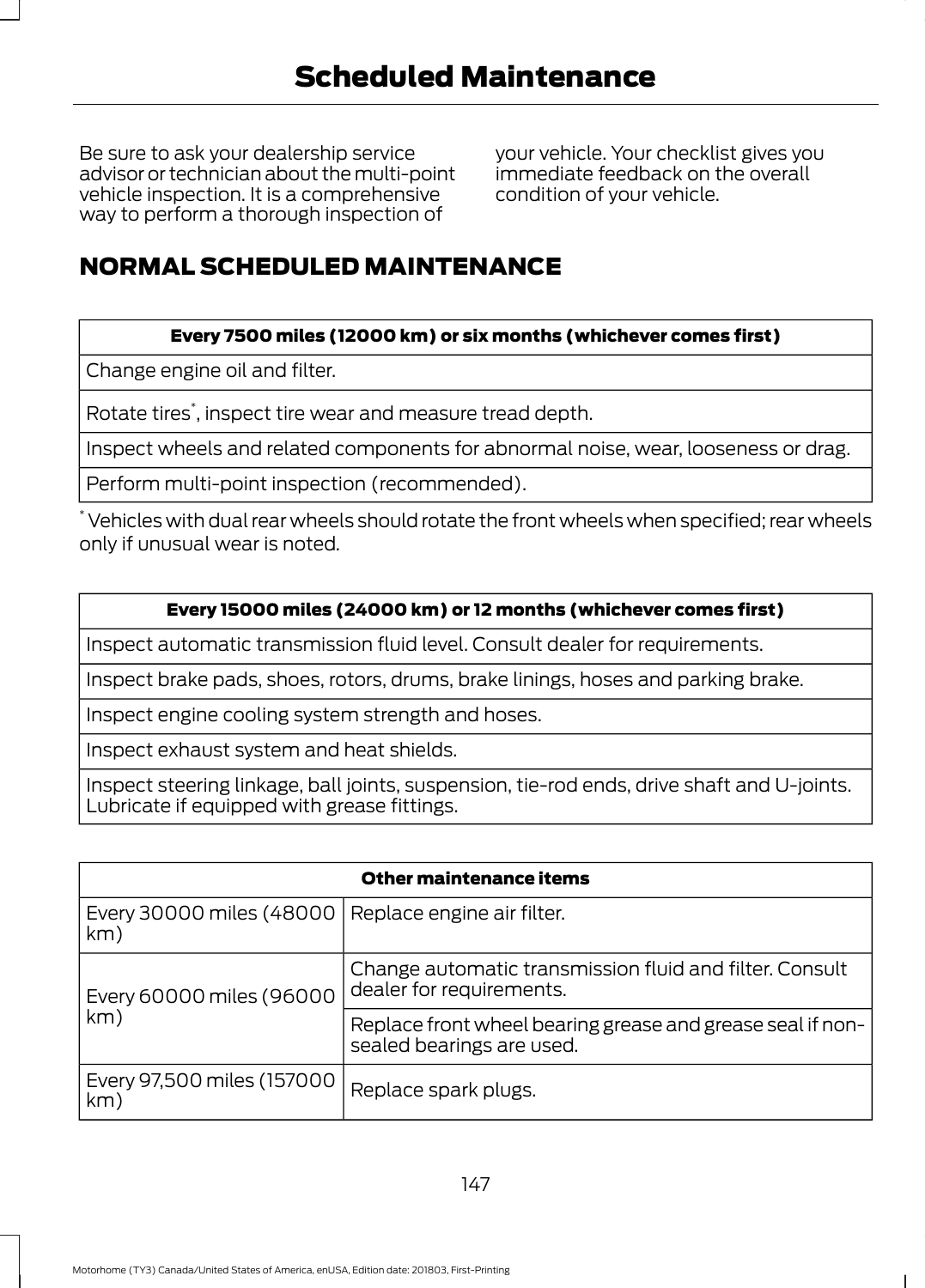Be sure to ask your dealership service advisor or technician about the multi-point vehicle inspection. It is a comprehensive way to perform a thorough inspection of

your vehicle. Your checklist gives you immediate feedback on the overall condition of your vehicle.

# NORMAL SCHEDULED MAINTENANCE

### Every 7500 miles (12000 km) or six months (whichever comes first)

Change engine oil and filter.

Rotate tires\* , inspect tire wear and measure tread depth.

Inspect wheels and related components for abnormal noise, wear, looseness or drag.

Perform multi-point inspection (recommended).

\* Vehicles with dual rear wheels should rotate the front wheels when specified; rear wheels only if unusual wear is noted.

#### Every 15000 miles (24000 km) or 12 months (whichever comes first)

Inspect automatic transmission fluid level. Consult dealer for requirements.

Inspect brake pads, shoes, rotors, drums, brake linings, hoses and parking brake.

Inspect engine cooling system strength and hoses.

Inspect exhaust system and heat shields.

Inspect steering linkage, ball joints, suspension, tie-rod ends, drive shaft and U-joints. Lubricate if equipped with grease fittings.

| <b>Other maintenance items</b>                               |                                                                                         |  |
|--------------------------------------------------------------|-----------------------------------------------------------------------------------------|--|
| Every 30000 miles (48000   Replace engine air filter.<br>km) |                                                                                         |  |
| Every 60000 miles (96000<br>km)                              | Change automatic transmission fluid and filter. Consult<br>dealer for requirements.     |  |
|                                                              | Replace front wheel bearing grease and grease seal if non-<br>sealed bearings are used. |  |
| Every 97,500 miles (157000<br>km)                            | Replace spark plugs.                                                                    |  |